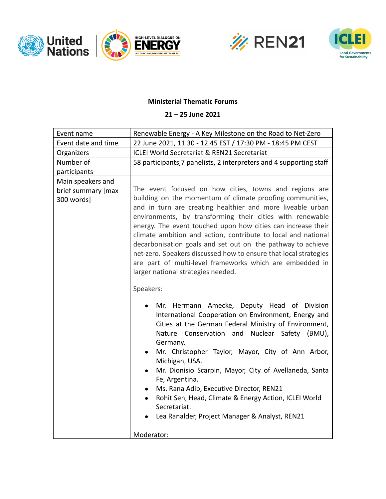





## **Ministerial Thematic Forums**

## **21 – 25 June 2021**

| Event name                                            | Renewable Energy - A Key Milestone on the Road to Net-Zero                                                                                                                                                                                                                                                                                                                                                                                                                                                                                                                                     |
|-------------------------------------------------------|------------------------------------------------------------------------------------------------------------------------------------------------------------------------------------------------------------------------------------------------------------------------------------------------------------------------------------------------------------------------------------------------------------------------------------------------------------------------------------------------------------------------------------------------------------------------------------------------|
| Event date and time                                   | 22 June 2021, 11.30 - 12.45 EST / 17:30 PM - 18:45 PM CEST                                                                                                                                                                                                                                                                                                                                                                                                                                                                                                                                     |
| Organizers                                            | <b>ICLEI World Secretariat &amp; REN21 Secretariat</b>                                                                                                                                                                                                                                                                                                                                                                                                                                                                                                                                         |
| Number of                                             | 58 participants, 7 panelists, 2 interpreters and 4 supporting staff                                                                                                                                                                                                                                                                                                                                                                                                                                                                                                                            |
| participants                                          |                                                                                                                                                                                                                                                                                                                                                                                                                                                                                                                                                                                                |
| Main speakers and<br>brief summary [max<br>300 words] | The event focused on how cities, towns and regions are<br>building on the momentum of climate proofing communities,<br>and in turn are creating healthier and more liveable urban<br>environments, by transforming their cities with renewable<br>energy. The event touched upon how cities can increase their<br>climate ambition and action, contribute to local and national<br>decarbonisation goals and set out on the pathway to achieve                                                                                                                                                 |
|                                                       | net-zero. Speakers discussed how to ensure that local strategies<br>are part of multi-level frameworks which are embedded in<br>larger national strategies needed.<br>Speakers:                                                                                                                                                                                                                                                                                                                                                                                                                |
|                                                       | Mr. Hermann Amecke, Deputy Head of Division<br>International Cooperation on Environment, Energy and<br>Cities at the German Federal Ministry of Environment,<br>Nature Conservation and<br>Nuclear Safety (BMU),<br>Germany.<br>Mr. Christopher Taylor, Mayor, City of Ann Arbor,<br>Michigan, USA.<br>Mr. Dionisio Scarpin, Mayor, City of Avellaneda, Santa<br>$\bullet$<br>Fe, Argentina.<br>Ms. Rana Adib, Executive Director, REN21<br>$\bullet$<br>Rohit Sen, Head, Climate & Energy Action, ICLEI World<br>Secretariat.<br>Lea Ranalder, Project Manager & Analyst, REN21<br>Moderator: |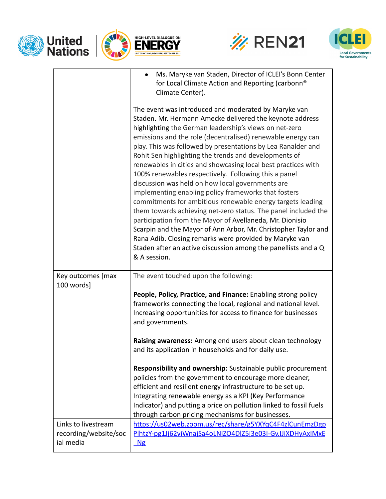





|                       | Ms. Maryke van Staden, Director of ICLEI's Bonn Center<br>$\bullet$<br>for Local Climate Action and Reporting (carbonn®<br>Climate Center).                                                                                                                                                                                                                                                                                                                                                                                                                                                                                                                                                                                                                                                                                                                                                                                                                                                                       |
|-----------------------|-------------------------------------------------------------------------------------------------------------------------------------------------------------------------------------------------------------------------------------------------------------------------------------------------------------------------------------------------------------------------------------------------------------------------------------------------------------------------------------------------------------------------------------------------------------------------------------------------------------------------------------------------------------------------------------------------------------------------------------------------------------------------------------------------------------------------------------------------------------------------------------------------------------------------------------------------------------------------------------------------------------------|
|                       | The event was introduced and moderated by Maryke van<br>Staden. Mr. Hermann Amecke delivered the keynote address<br>highlighting the German leadership's views on net-zero<br>emissions and the role (decentralised) renewable energy can<br>play. This was followed by presentations by Lea Ranalder and<br>Rohit Sen highlighting the trends and developments of<br>renewables in cities and showcasing local best practices with<br>100% renewables respectively. Following this a panel<br>discussion was held on how local governments are<br>implementing enabling policy frameworks that fosters<br>commitments for ambitious renewable energy targets leading<br>them towards achieving net-zero status. The panel included the<br>participation from the Mayor of Avellaneda, Mr. Dionisio<br>Scarpin and the Mayor of Ann Arbor, Mr. Christopher Taylor and<br>Rana Adib. Closing remarks were provided by Maryke van<br>Staden after an active discussion among the panellists and a Q<br>& A session. |
| Key outcomes [max     | The event touched upon the following:                                                                                                                                                                                                                                                                                                                                                                                                                                                                                                                                                                                                                                                                                                                                                                                                                                                                                                                                                                             |
| 100 words]            |                                                                                                                                                                                                                                                                                                                                                                                                                                                                                                                                                                                                                                                                                                                                                                                                                                                                                                                                                                                                                   |
|                       | People, Policy, Practice, and Finance: Enabling strong policy<br>frameworks connecting the local, regional and national level.                                                                                                                                                                                                                                                                                                                                                                                                                                                                                                                                                                                                                                                                                                                                                                                                                                                                                    |
|                       | Increasing opportunities for access to finance for businesses<br>and governments.                                                                                                                                                                                                                                                                                                                                                                                                                                                                                                                                                                                                                                                                                                                                                                                                                                                                                                                                 |
|                       | Raising awareness: Among end users about clean technology<br>and its application in households and for daily use.                                                                                                                                                                                                                                                                                                                                                                                                                                                                                                                                                                                                                                                                                                                                                                                                                                                                                                 |
|                       | Responsibility and ownership: Sustainable public procurement                                                                                                                                                                                                                                                                                                                                                                                                                                                                                                                                                                                                                                                                                                                                                                                                                                                                                                                                                      |
|                       | policies from the government to encourage more cleaner,                                                                                                                                                                                                                                                                                                                                                                                                                                                                                                                                                                                                                                                                                                                                                                                                                                                                                                                                                           |
|                       | efficient and resilient energy infrastructure to be set up.                                                                                                                                                                                                                                                                                                                                                                                                                                                                                                                                                                                                                                                                                                                                                                                                                                                                                                                                                       |
|                       | Integrating renewable energy as a KPI (Key Performance<br>Indicator) and putting a price on pollution linked to fossil fuels                                                                                                                                                                                                                                                                                                                                                                                                                                                                                                                                                                                                                                                                                                                                                                                                                                                                                      |
|                       | through carbon pricing mechanisms for businesses.                                                                                                                                                                                                                                                                                                                                                                                                                                                                                                                                                                                                                                                                                                                                                                                                                                                                                                                                                                 |
| Links to livestream   | https://us02web.zoom.us/rec/share/g5YXYqC4F4zlCunEmzDgp                                                                                                                                                                                                                                                                                                                                                                                                                                                                                                                                                                                                                                                                                                                                                                                                                                                                                                                                                           |
| recording/website/soc | PlhtzY-pg1Jj62viWnajSa4oLNiZO4DlZ5j3e03I-Gv.IJiXDHyAxIMxE                                                                                                                                                                                                                                                                                                                                                                                                                                                                                                                                                                                                                                                                                                                                                                                                                                                                                                                                                         |
| ial media             | Mg                                                                                                                                                                                                                                                                                                                                                                                                                                                                                                                                                                                                                                                                                                                                                                                                                                                                                                                                                                                                                |
|                       |                                                                                                                                                                                                                                                                                                                                                                                                                                                                                                                                                                                                                                                                                                                                                                                                                                                                                                                                                                                                                   |